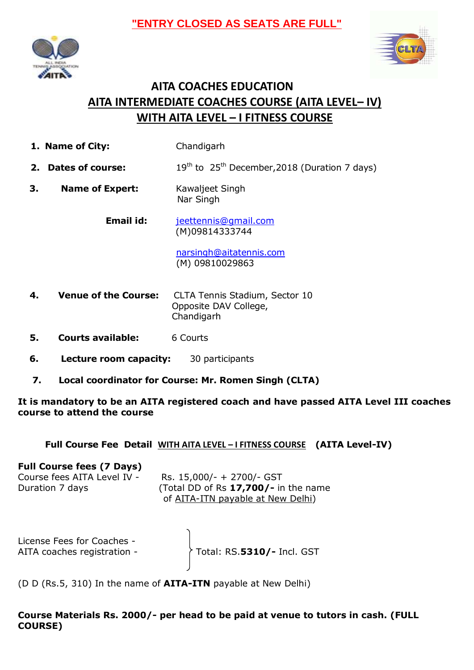



# **AITA COACHES EDUCATION AITA INTERMEDIATE COACHES COURSE (AITA LEVEL– IV) WITH AITA LEVEL – I FITNESS COURSE**

- **1. Name of City:** Chandigarh
- **2. Dates of course:** 19<sup>th</sup> to 25<sup>th</sup> December, 2018 (Duration 7 days)
- **3. Name of Expert:** Kawaljeet Singh Nar Singh

 **Email id:** [jeettennis@gmail.com](mailto:jeettennis@gmail.com) (M)09814333744

> [narsingh@aitatennis.com](mailto:narsingh@aitatennis.com) (M) 09810029863

- **4. Venue of the Course:** CLTA Tennis Stadium, Sector 10 Opposite DAV College, Chandigarh
- **5. Courts available:** 6 Courts
- **6. Lecture room capacity:** 30 participants
- **7. Local coordinator for Course: Mr. Romen Singh (CLTA)**

**It is mandatory to be an AITA registered coach and have passed AITA Level III coaches course to attend the course** 

#### **Full Course Fee Detail WITH AITA LEVEL – I FITNESS COURSE (AITA Level-IV)**

#### **Full Course fees (7 Days)**

| Course fees AITA Level IV - | Rs. 15,000/- + 2700/- GST                 |
|-----------------------------|-------------------------------------------|
| Duration 7 days             | (Total DD of Rs $17,700/-$ in the name    |
|                             | of <u>AITA-ITN payable at New Delhi</u> ) |

| License Fees for Coaches -<br>AITA coaches registration - | Total: RS.5310/- Incl. GST |
|-----------------------------------------------------------|----------------------------|
|                                                           |                            |

(D D (Rs.5, 310) In the name of **AITA-ITN** payable at New Delhi)

**Course Materials Rs. 2000/- per head to be paid at venue to tutors in cash. (FULL COURSE)**